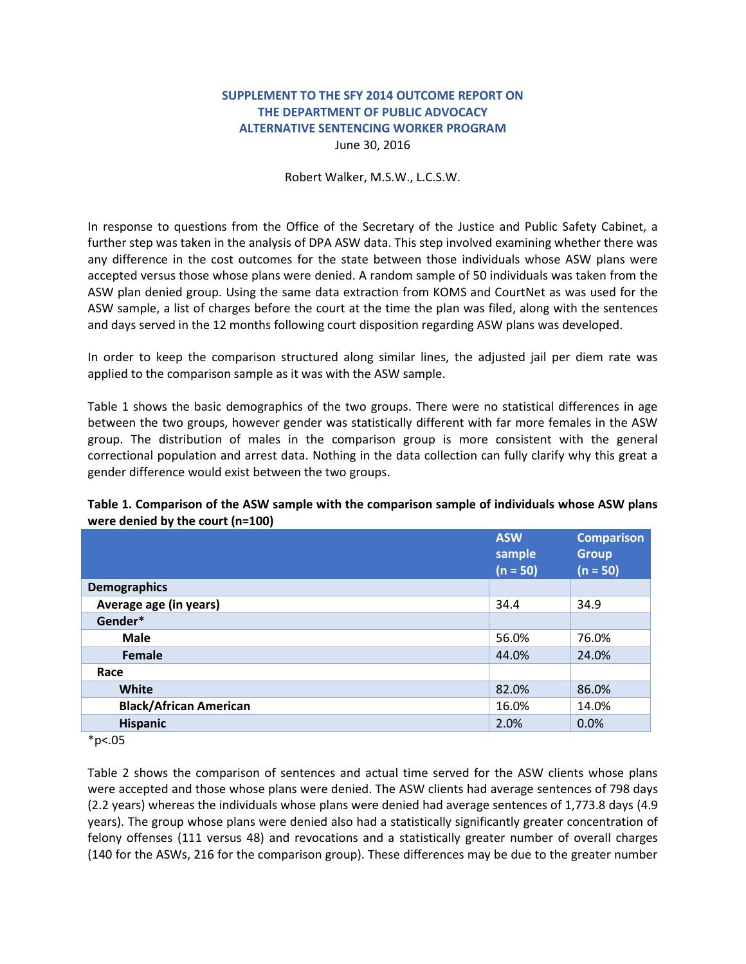## **SUPPLEMENT TO THE SFY 2014 OUTCOME REPORT ON THE DEPARTMENT OF PUBLIC ADVOCACY ALTERNATIVE SENTENCING WORKER PROGRAM** June 30, 2016

## Robert Walker, M.S.W., L.C.S.W.

In response to questions from the Office of the Secretary of the Justice and Public Safety Cabinet, a further step was taken in the analysis of DPA ASW data. This step involved examining whether there was any difference in the cost outcomes for the state between those individuals whose ASW plans were accepted versus those whose plans were denied. A random sample of 50 individuals was taken from the ASW plan denied group. Using the same data extraction from KOMS and CourtNet as was used for the ASW sample, a list of charges before the court at the time the plan was filed, along with the sentences and days served in the 12 months following court disposition regarding ASW plans was developed.

In order to keep the comparison structured along similar lines, the adjusted jail per diem rate was applied to the comparison sample as it was with the ASW sample.

Table 1 shows the basic demographics of the two groups. There were no statistical differences in age between the two groups, however gender was statistically different with far more females in the ASW group. The distribution of males in the comparison group is more consistent with the general correctional population and arrest data. Nothing in the data collection can fully clarify why this great a gender difference would exist between the two groups.

|                               | <b>ASW</b><br>sample<br>$(n = 50)$ | <b>Comparison</b><br><b>Group</b><br>$(n = 50)$ |
|-------------------------------|------------------------------------|-------------------------------------------------|
| <b>Demographics</b>           |                                    |                                                 |
| Average age (in years)        | 34.4                               | 34.9                                            |
| Gender*                       |                                    |                                                 |
| <b>Male</b>                   | 56.0%                              | 76.0%                                           |
| Female                        | 44.0%                              | 24.0%                                           |
| Race                          |                                    |                                                 |
| White                         | 82.0%                              | 86.0%                                           |
| <b>Black/African American</b> | 16.0%                              | 14.0%                                           |
| <b>Hispanic</b>               | 2.0%                               | 0.0%                                            |

## **Table 1. Comparison of the ASW sample with the comparison sample of individuals whose ASW plans were denied by the court (n=100)**

 $*p<.05$ 

Table 2 shows the comparison of sentences and actual time served for the ASW clients whose plans were accepted and those whose plans were denied. The ASW clients had average sentences of 798 days (2.2 years) whereas the individuals whose plans were denied had average sentences of 1,773.8 days (4.9 years). The group whose plans were denied also had a statistically significantly greater concentration of felony offenses (111 versus 48) and revocations and a statistically greater number of overall charges (140 for the ASWs, 216 for the comparison group). These differences may be due to the greater number